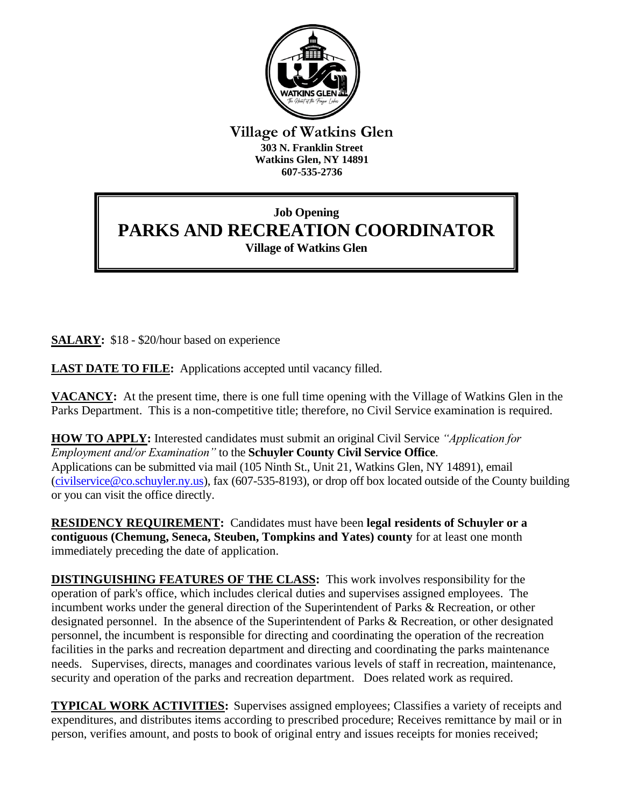

**Village of Watkins Glen 303 N. Franklin Street Watkins Glen, NY 14891 607-535-2736**

## **Job Opening PARKS AND RECREATION COORDINATOR Village of Watkins Glen**

**SALARY:** \$18 - \$20/hour based on experience

**LAST DATE TO FILE:** Applications accepted until vacancy filled.

**VACANCY:** At the present time, there is one full time opening with the Village of Watkins Glen in the Parks Department. This is a non-competitive title; therefore, no Civil Service examination is required.

**HOW TO APPLY:** Interested candidates must submit an original Civil Service *"Application for Employment and/or Examination"* to the **Schuyler County Civil Service Office**. Applications can be submitted via mail (105 Ninth St., Unit 21, Watkins Glen, NY 14891), email [\(civilservice@co.schuyler.ny.us\)](mailto:civilservice@co.schuyler.ny.us), fax (607-535-8193), or drop off box located outside of the County building or you can visit the office directly.

**RESIDENCY REQUIREMENT:** Candidates must have been **legal residents of Schuyler or a contiguous (Chemung, Seneca, Steuben, Tompkins and Yates) county** for at least one month immediately preceding the date of application.

**DISTINGUISHING FEATURES OF THE CLASS:** This work involves responsibility for the operation of park's office, which includes clerical duties and supervises assigned employees. The incumbent works under the general direction of the Superintendent of Parks & Recreation, or other designated personnel. In the absence of the Superintendent of Parks & Recreation, or other designated personnel, the incumbent is responsible for directing and coordinating the operation of the recreation facilities in the parks and recreation department and directing and coordinating the parks maintenance needs. Supervises, directs, manages and coordinates various levels of staff in recreation, maintenance, security and operation of the parks and recreation department. Does related work as required.

**TYPICAL WORK ACTIVITIES:** Supervises assigned employees; Classifies a variety of receipts and expenditures, and distributes items according to prescribed procedure; Receives remittance by mail or in person, verifies amount, and posts to book of original entry and issues receipts for monies received;